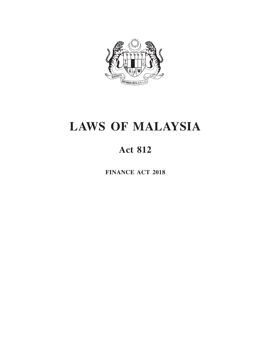

# **LAWS OF MALAYSIA**

# **Act 812**

**FINANCE ACT 2018**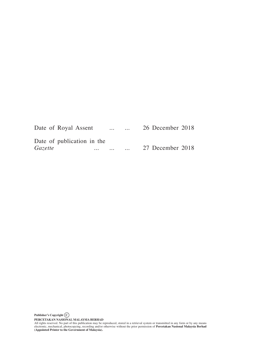| Date of Royal Assent                  |          | $\cdots$            | $\cdots$ | 26 December 2018 |  |
|---------------------------------------|----------|---------------------|----------|------------------|--|
| Date of publication in the<br>Gazette | $\cdots$ | $\cdot \cdot \cdot$ |          | 27 December 2018 |  |

**Publisher's Copyright C**

**PERCETAKAN NASIONAL MALAYSIA BERHAD**<br>All rights reserved. No part of this publication may be reproduced, stored in a retrieval system or transmitted in any form or by any means<br>electronic, mechanical, photocopying, record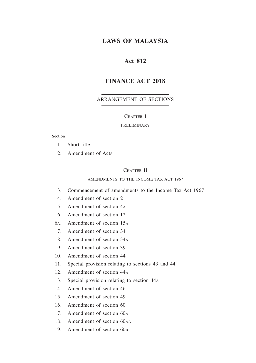# **LAWS OF MALAYSIA**

# **Act 812**

# **FINANCE ACT 2018**

#### ARRANGEMENT OF SECTIONS

#### CHAPTER I

#### PRELIMINARY

#### Section

- 1. Short title
- 2. Amendment of Acts

#### CHAPTER II

#### AMENDMENTS TO THE INCOME TAX ACT 1967

- 3. Commencement of amendments to the Income Tax Act 1967
- 4. Amendment of section 2
- 5. Amendment of section 4<sup>a</sup>
- 6. Amendment of section 12
- 6a. Amendment of section 15<sup>a</sup>
- 7. Amendment of section 34
- 8. Amendment of section 34<sup>a</sup>
- 9. Amendment of section 39
- 10. Amendment of section 44
- 11. Special provision relating to sections 43 and 44
- 12. Amendment of section 44<sup>a</sup>
- 13. Special provision relating to section 44<sup>a</sup>
- 14. Amendment of section 46
- 15. Amendment of section 49
- 16. Amendment of section 60
- 17. Amendment of section 60a
- 18. Amendment of section 60aa
- 19. Amendment of section 60<sub>B</sub>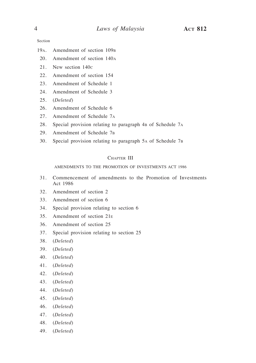Section

- 19<sub>A</sub>. Amendment of section 109<sub>B</sub>
- 20. Amendment of section 140a
- 21. New section 140c
- 22. Amendment of section 154
- 23. Amendment of Schedule 1
- 24. Amendment of Schedule 3
- 25. (*Deleted*)
- 26. Amendment of Schedule 6
- 27. Amendment of Schedule 7a
- 28. Special provision relating to paragraph 4B of Schedule 7A
- 29. Amendment of Schedule 7b
- 30. Special provision relating to paragraph 5a of Schedule 7b

#### CHAPTER III

AMENDMENTS TO THE PROMOTION OF INVESTMENTS ACT 1986

- 31. Commencement of amendments to the Promotion of Investments Act 1986
- 32. Amendment of section 2
- 33. Amendment of section 6
- 34. Special provision relating to section 6
- 35. Amendment of section 21e
- 36. Amendment of section 25
- 37. Special provision relating to section 25
- 38. (*Deleted*)
- 39. (*Deleted*)
- 40. (*Deleted*)
- 41. (*Deleted*)
- 42. (*Deleted*)
- 43. (*Deleted*)
- 44. (*Deleted*)
- 45. (*Deleted*)
- 46. (*Deleted*)
- 47. (*Deleted*)
- 48. (*Deleted*)
- 49. (*Deleted*)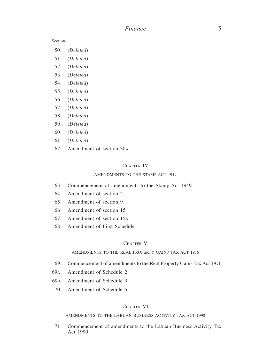Section

- 50. (*Deleted*)
- 51. (*Deleted*)
- 52. (*Deleted*)
- 53. (*Deleted*)
- 54. (*Deleted*)
- 55. (*Deleted*)
- 56. (*Deleted*)
- 57. (*Deleted*)
- 58. (*Deleted*)
- 59. (*Deleted*)
- 60. (*Deleted*)
- 61. (*Deleted*)
- 62. Amendment of section 30a

#### CHAPTER IV

#### AMENDMENTS TO THE STAMP ACT 1949

- 63. Commencement of amendments to the Stamp Act 1949
- 64. Amendment of section 2
- 65. Amendment of section 9
- 66. Amendment of section 15
- 67. Amendment of section 15a
- 68. Amendment of First Schedule

#### CHAPTER V

#### AMENDMENTS TO THE REAL PROPERTY GAINS TAX ACT 1976

- 69. Commencement of amendments to the Real Property Gains Tax Act 1976
- 69a. Amendment of Schedule 2
- 69b. Amendment of Schedule 3
- 70. Amendment of Schedule 5

#### CHAPTER VI

#### AMENDMENTS TO THE LABUAN BUSINESS ACTIVITY TAX ACT 1990

71. Commencement of amendments to the Labuan Business Activity Tax Act 1990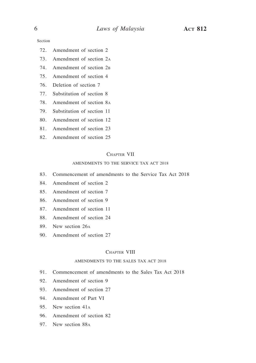Section

- 72. Amendment of section 2
- 73. Amendment of section 2a
- 74. Amendment of section 2b
- 75. Amendment of section 4
- 76. Deletion of section 7
- 77. Substitution of section 8
- 78. Amendment of section 8a
- 79. Substitution of section 11
- 80. Amendment of section 12
- 81. Amendment of section 23
- 82. Amendment of section 25

#### CHAPTER VII

#### AMENDMENTS TO THE SERVICE TAX ACT 2018

- 83. Commencement of amendments to the Service Tax Act 2018
- 84. Amendment of section 2
- 85. Amendment of section 7
- 86. Amendment of section 9
- 87. Amendment of section 11
- 88. Amendment of section 24
- 89. New section 26a
- 90. Amendment of section 27

#### CHAPTER VIII

#### AMENDMENTS TO THE SALES TAX ACT 2018

- 91. Commencement of amendments to the Sales Tax Act 2018
- 92. Amendment of section 9
- 93. Amendment of section 27
- 94. Amendment of Part VI
- 95. New section 41a
- 96. Amendment of section 82
- 97. New section 88a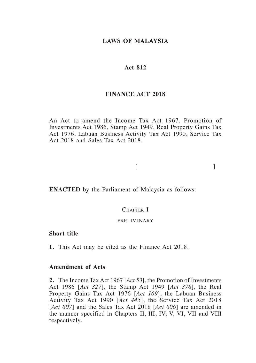# **LAWS OF MALAYSIA**

#### **Act 812**

# **FINANCE ACT 2018**

An Act to amend the Income Tax Act 1967, Promotion of Investments Act 1986, Stamp Act 1949, Real Property Gains Tax Act 1976, Labuan Business Activity Tax Act 1990, Service Tax Act 2018 and Sales Tax Act 2018.

 $[$ 

**ENACTED** by the Parliament of Malaysia as follows:

# CHAPTER I

#### PRELIMINARY

### **Short title**

**1.** This Act may be cited as the Finance Act 2018.

#### **Amendment of Acts**

**2.** The Income Tax Act 1967 [*Act 53*], the Promotion of Investments Act 1986 [*Act 327*], the Stamp Act 1949 [*Act 378*], the Real Property Gains Tax Act 1976 [*Act 169*], the Labuan Business Activity Tax Act 1990 [*Act 445*], the Service Tax Act 2018 [*Act 807*] and the Sales Tax Act 2018 [*Act 806*] are amended in the manner specified in Chapters II, III, IV, V, VI, VII and VIII respectively.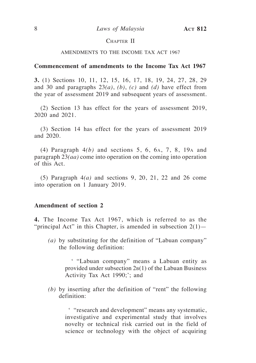# CHAPTER II

#### AMENDMENTS TO THE INCOME TAX ACT 1967

#### **Commencement of amendments to the Income Tax Act 1967**

**3.** (1) Sections 10, 11, 12, 15, 16, 17, 18, 19, 24, 27, 28, 29 and 30 and paragraphs 23*(a)*, *(b)*, *(c)* and *(d)* have effect from the year of assessment 2019 and subsequent years of assessment.

(2) Section 13 has effect for the years of assessment 2019, 2020 and 2021.

(3) Section 14 has effect for the years of assessment 2019 and 2020.

(4) Paragraph 4*(b)* and sections 5, 6, 6a, 7, 8, 19<sup>a</sup> and paragraph 23*(aa)* come into operation on the coming into operation of this Act.

(5) Paragraph 4*(a)* and sections 9, 20, 21, 22 and 26 come into operation on 1 January 2019.

#### **Amendment of section 2**

**4.** The Income Tax Act 1967, which is referred to as the "principal Act" in this Chapter, is amended in subsection  $2(1)$ —

*(a)* by substituting for the definition of "Labuan company" the following definition:

> ' "Labuan company" means a Labuan entity as provided under subsection  $2B(1)$  of the Labuan Business Activity Tax Act 1990;'; and

*(b)* by inserting after the definition of "rent" the following definition:

> ' "research and development" means any systematic, investigative and experimental study that involves novelty or technical risk carried out in the field of science or technology with the object of acquiring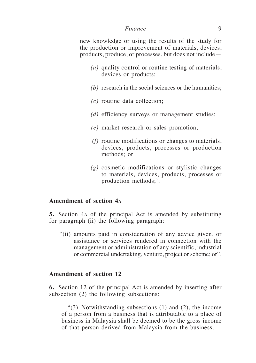new knowledge or using the results of the study for the production or improvement of materials, devices, products, produce, or processes, but does not include—

- *(a)* quality control or routine testing of materials, devices or products;
- *(b)* research in the social sciences or the humanities;
- *(c)* routine data collection;
- *(d)* efficiency surveys or management studies;
- *(e)* market research or sales promotion;
- *(f)* routine modifications or changes to materials, devices, products, processes or production methods; or
- *(g)* cosmetic modifications or stylistic changes to materials, devices, products, processes or production methods;'.

# **Amendment of section 4a**

**5.** Section 4a of the principal Act is amended by substituting for paragraph (ii) the following paragraph:

"(ii) amounts paid in consideration of any advice given, or assistance or services rendered in connection with the management or administration of any scientific, industrial or commercial undertaking, venture, project or scheme; or".

#### **Amendment of section 12**

**6.** Section 12 of the principal Act is amended by inserting after subsection (2) the following subsections:

"(3) Notwithstanding subsections (1) and (2), the income of a person from a business that is attributable to a place of business in Malaysia shall be deemed to be the gross income of that person derived from Malaysia from the business.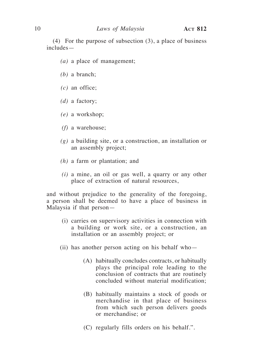(4) For the purpose of subsection (3), a place of business includes—

- *(a)* a place of management;
- *(b)* a branch;
- *(c)* an office;
- *(d)* a factory;
- *(e)* a workshop;
- *(f)* a warehouse;
- *(g)* a building site, or a construction, an installation or an assembly project;
- *(h)* a farm or plantation; and
- *(i)* a mine, an oil or gas well, a quarry or any other place of extraction of natural resources,

and without prejudice to the generality of the foregoing, a person shall be deemed to have a place of business in Malaysia if that person—

- (i) carries on supervisory activities in connection with a building or work site, or a construction, an installation or an assembly project; or
- (ii) has another person acting on his behalf who—
	- (A) habitually concludes contracts, or habitually plays the principal role leading to the conclusion of contracts that are routinely concluded without material modification;
	- (B) habitually maintains a stock of goods or merchandise in that place of business from which such person delivers goods or merchandise; or
	- (C) regularly fills orders on his behalf.".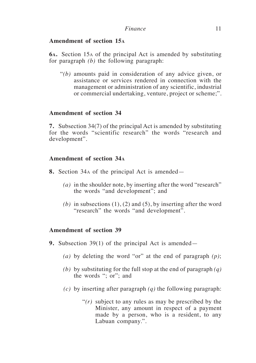# **Amendment of section 15a**

**6a.** Section 15a of the principal Act is amended by substituting for paragraph *(b)* the following paragraph:

"*(b)* amounts paid in consideration of any advice given, or assistance or services rendered in connection with the management or administration of any scientific, industrial or commercial undertaking, venture, project or scheme;".

# **Amendment of section 34**

**7.** Subsection 34(7) of the principal Act is amended by substituting for the words "scientific research" the words "research and development".

# **Amendment of section 34a**

- **8.** Section 34a of the principal Act is amended—
	- *(a)* in the shoulder note, by inserting after the word "research" the words "and development"; and
	- $(b)$  in subsections  $(1)$ ,  $(2)$  and  $(5)$ , by inserting after the word "research" the words "and development".

# **Amendment of section 39**

- **9.** Subsection 39(1) of the principal Act is amended—
	- *(a)* by deleting the word "or" at the end of paragraph *(p)*;
	- *(b)* by substituting for the full stop at the end of paragraph *(q)* the words "; or"; and
	- *(c)* by inserting after paragraph *(q)* the following paragraph:
		- "*(r)* subject to any rules as may be prescribed by the Minister, any amount in respect of a payment made by a person, who is a resident, to any Labuan company.".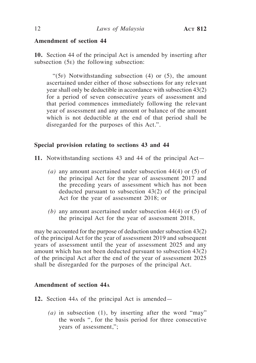# **Amendment of section 44**

**10.** Section 44 of the principal Act is amended by inserting after subsection (5e) the following subsection:

" $(5F)$  Notwithstanding subsection (4) or (5), the amount ascertained under either of those subsections for any relevant year shall only be deductible in accordance with subsection 43(2) for a period of seven consecutive years of assessment and that period commences immediately following the relevant year of assessment and any amount or balance of the amount which is not deductible at the end of that period shall be disregarded for the purposes of this Act.".

#### **Special provision relating to sections 43 and 44**

**11.** Notwithstanding sections 43 and 44 of the principal Act—

- *(a)* any amount ascertained under subsection 44(4) or (5) of the principal Act for the year of assessment 2017 and the preceding years of assessment which has not been deducted pursuant to subsection 43(2) of the principal Act for the year of assessment 2018; or
- *(b)* any amount ascertained under subsection 44(4) or (5) of the principal Act for the year of assessment 2018,

may be accounted for the purpose of deduction under subsection 43(2) of the principal Act for the year of assessment 2019 and subsequent years of assessment until the year of assessment 2025 and any amount which has not been deducted pursuant to subsection 43(2) of the principal Act after the end of the year of assessment 2025 shall be disregarded for the purposes of the principal Act.

#### **Amendment of section 44a**

- **12.** Section 44a of the principal Act is amended—
	- *(a)* in subsection (1), by inserting after the word "may" the words ", for the basis period for three consecutive years of assessment,";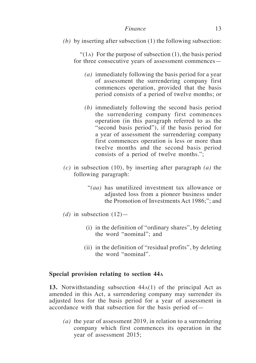*(b)* by inserting after subsection (1) the following subsection:

"(1<sub>A</sub>) For the purpose of subsection  $(1)$ , the basis period for three consecutive years of assessment commences—

- *(a)* immediately following the basis period for a year of assessment the surrendering company first commences operation, provided that the basis period consists of a period of twelve months; or
- *(b)* immediately following the second basis period the surrendering company first commences operation (in this paragraph referred to as the "second basis period"), if the basis period for a year of assessment the surrendering company first commences operation is less or more than twelve months and the second basis period consists of a period of twelve months.";
- *(c)* in subsection (10), by inserting after paragraph *(a)* the following paragraph:
	- "*(aa)* has unutilized investment tax allowance or adjusted loss from a pioneer business under the Promotion of Investments Act 1986;"; and
- (*d*) in subsection  $(12)$ 
	- (i) in the definition of "ordinary shares", by deleting the word "nominal"; and
	- (ii) in the definition of "residual profits", by deleting the word "nominal".

# **Special provision relating to section 44a**

**13.** Notwithstanding subsection 44a(1) of the principal Act as amended in this Act, a surrendering company may surrender its adjusted loss for the basis period for a year of assessment in accordance with that subsection for the basis period of—

*(a)* the year of assessment 2019, in relation to a surrendering company which first commences its operation in the year of assessment 2015;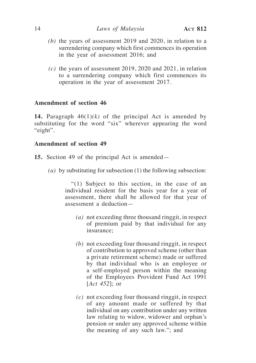- *(b)* the years of assessment 2019 and 2020, in relation to a surrendering company which first commences its operation in the year of assessment 2016; and
- *(c)* the years of assessment 2019, 2020 and 2021, in relation to a surrendering company which first commences its operation in the year of assessment 2017.

# **Amendment of section 46**

**14.** Paragraph  $46(1)(k)$  of the principal Act is amended by substituting for the word "six" wherever appearing the word "eight".

# **Amendment of section 49**

- **15.** Section 49 of the principal Act is amended—
	- *(a)* by substituting for subsection (1) the following subsection:

"(1) Subject to this section, in the case of an individual resident for the basis year for a year of assessment, there shall be allowed for that year of assessment a deduction—

- *(a)* not exceeding three thousand ringgit, in respect of premium paid by that individual for any insurance;
- *(b)* not exceeding four thousand ringgit, in respect of contribution to approved scheme (other than a private retirement scheme) made or suffered by that individual who is an employee or a self-employed person within the meaning of the Employees Provident Fund Act 1991 [*Act 452*]; or
- *(c)* not exceeding four thousand ringgit, in respect of any amount made or suffered by that individual on any contribution under any written law relating to widow, widower and orphan's pension or under any approved scheme within the meaning of any such law."; and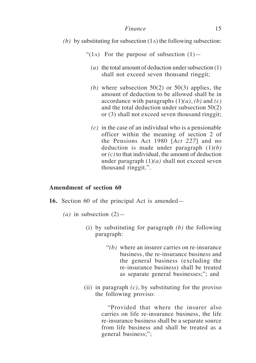- *(b)* by substituting for subsection (1a) the following subsection:
	- "(1). For the purpose of subsection  $(1)$ 
		- *(a)* the total amount of deduction under subsection (1) shall not exceed seven thousand ringgit;
		- *(b)* where subsection 50(2) or 50(3) applies, the amount of deduction to be allowed shall be in accordance with paragraphs (1)*(a)*, *(b)* and *(c)* and the total deduction under subsection 50(2) or (3) shall not exceed seven thousand ringgit;
		- *(c)* in the case of an individual who is a pensionable officer within the meaning of section 2 of the Pensions Act 1980 [*Act 227*] and no deduction is made under paragraph (1)*(b)* or *(c)* to that individual, the amount of deduction under paragraph  $(1)(a)$  shall not exceed seven thousand ringgit.".

# **Amendment of section 60**

- **16.** Section 60 of the principal Act is amended—
	- $(a)$  in subsection  $(2)$ 
		- (i) by substituting for paragraph *(b)* the following paragraph:
			- "*(b)* where an insurer carries on re-insurance business, the re-insurance business and the general business (excluding the re-insurance business) shall be treated as separate general businesses;"; and
		- (ii) in paragraph *(c)*, by substituting for the proviso the following proviso:

"Provided that where the insurer also carries on life re-insurance business, the life re-insurance business shall be a separate source from life business and shall be treated as a general business;";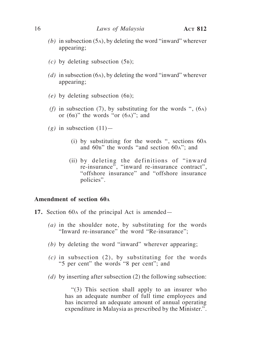- *(b)* in subsection (5a), by deleting the word "inward" wherever appearing;
- $(c)$  by deleting subsection  $(5B)$ ;
- *(d)* in subsection (6a), by deleting the word "inward" wherever appearing;
- *(e)* by deleting subsection (6b);
- *(f)* in subsection (7), by substituting for the words ",  $(6)$ or  $(6a)$ " the words "or  $(6a)$ "; and
- $(g)$  in subsection  $(11)$ 
	- (i) by substituting for the words ", sections 60a and  $60B$ " the words "and section  $60A$ "; and
	- (ii) by deleting the definitions of "inward re-insurance", "inward re-insurance contract", "offshore insurance" and "offshore insurance policies".

### **Amendment of section 60a**

- **17.** Section 60a of the principal Act is amended—
	- *(a)* in the shoulder note, by substituting for the words "Inward re-insurance" the word "Re-insurance";
	- *(b)* by deleting the word "inward" wherever appearing;
	- *(c)* in subsection (2), by substituting for the words "5 per cent" the words "8 per cent"; and
	- *(d)* by inserting after subsection (2) the following subsection:

"(3) This section shall apply to an insurer who has an adequate number of full time employees and has incurred an adequate amount of annual operating expenditure in Malaysia as prescribed by the Minister.".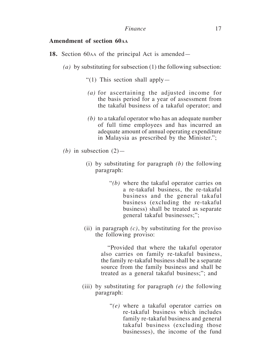# **Amendment of section 60aa**

- **18.** Section 60aa of the principal Act is amended—
	- *(a)* by substituting for subsection (1) the following subsection:
		- "(1) This section shall apply—
		- *(a)* for ascertaining the adjusted income for the basis period for a year of assessment from the takaful business of a takaful operator; and
		- *(b)* to a takaful operator who has an adequate number of full time employees and has incurred an adequate amount of annual operating expenditure in Malaysia as prescribed by the Minister.";
	- *(b)* in subsection  $(2)$ 
		- (i) by substituting for paragraph *(b)* the following paragraph:
			- "*(b)* where the takaful operator carries on a re-takaful business, the re-takaful business and the general takaful business (excluding the re-takaful business) shall be treated as separate general takaful businesses;";
		- (ii) in paragraph *(c)*, by substituting for the proviso the following proviso:

"Provided that where the takaful operator also carries on family re-takaful business, the family re-takaful business shall be a separate source from the family business and shall be treated as a general takaful business;"; and

- (iii) by substituting for paragraph *(e)* the following paragraph:
	- "*(e)* where a takaful operator carries on re-takaful business which includes family re-takaful business and general takaful business (excluding those businesses), the income of the fund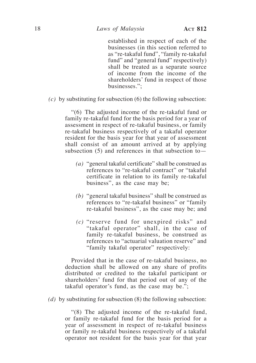established in respect of each of the businesses (in this section referred to as "re-takaful fund", "family re-takaful fund" and "general fund" respectively) shall be treated as a separate source of income from the income of the shareholders' fund in respect of those businesses.";

*(c)* by substituting for subsection (6) the following subsection:

"(6) The adjusted income of the re-takaful fund or family re-takaful fund for the basis period for a year of assessment in respect of re-takaful business, or family re-takaful business respectively of a takaful operator resident for the basis year for that year of assessment shall consist of an amount arrived at by applying subsection  $(5)$  and references in that subsection to-

- *(a)* "general takaful certificate" shall be construed as references to "re-takaful contract" or "takaful certificate in relation to its family re-takaful business", as the case may be;
- *(b)* "general takaful business" shall be construed as references to "re-takaful business" or "family re-takaful business", as the case may be; and
- *(c)* "reserve fund for unexpired risks" and "takaful operator" shall, in the case of family re-takaful business, be construed as references to "actuarial valuation reserve" and "family takaful operator" respectively:

Provided that in the case of re-takaful business, no deduction shall be allowed on any share of profits distributed or credited to the takaful participant or shareholders' fund for that period out of any of the takaful operator's fund, as the case may be.";

*(d)* by substituting for subsection (8) the following subsection:

"(8) The adjusted income of the re-takaful fund, or family re-takaful fund for the basis period for a year of assessment in respect of re-takaful business or family re-takaful business respectively of a takaful operator not resident for the basis year for that year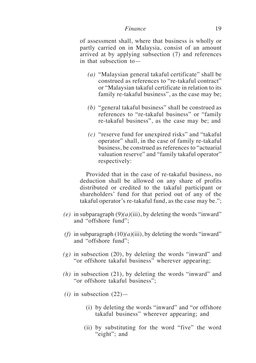of assessment shall, where that business is wholly or partly carried on in Malaysia, consist of an amount arrived at by applying subsection (7) and references in that subsection to—

- *(a)* "Malaysian general takaful certificate" shall be construed as references to "re-takaful contract" or "Malaysian takaful certificate in relation to its family re-takaful business", as the case may be;
- *(b)* "general takaful business" shall be construed as references to "re-takaful business" or "family re-takaful business", as the case may be; and
- *(c)* "reserve fund for unexpired risks" and "takaful operator" shall, in the case of family re-takaful business, be construed as references to "actuarial valuation reserve" and "family takaful operator" respectively:

Provided that in the case of re-takaful business, no deduction shall be allowed on any share of profits distributed or credited to the takaful participant or shareholders' fund for that period out of any of the takaful operator's re-takaful fund, as the case may be.";

- $(e)$  in subparagraph  $(9)(a)(iii)$ , by deleting the words "inward" and "offshore fund";
- *(f)* in subparagraph  $(10)(a)(iii)$ , by deleting the words "inward" and "offshore fund";
- *(g)* in subsection (20), by deleting the words "inward" and "or offshore takaful business" wherever appearing;
- *(h)* in subsection (21), by deleting the words "inward" and "or offshore takaful business";
- $(i)$  in subsection  $(22)$ 
	- (i) by deleting the words "inward" and "or offshore takaful business" wherever appearing; and
	- (ii) by substituting for the word "five" the word "eight"; and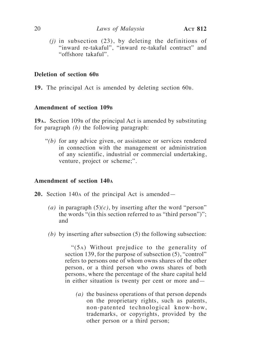*(j)* in subsection (23), by deleting the definitions of "inward re-takaful", "inward re-takaful contract" and "offshore takaful".

#### **Deletion of section 60b**

**19.** The principal Act is amended by deleting section 60b.

### **Amendment of section 109b**

**19a.** Section 109<sub>B</sub> of the principal Act is amended by substituting for paragraph *(b)* the following paragraph:

"*(b)* for any advice given, or assistance or services rendered in connection with the management or administration of any scientific, industrial or commercial undertaking, venture, project or scheme;".

# **Amendment of section 140a**

- **20.** Section 140a of the principal Act is amended—
	- (*a*) in paragraph  $(5)(c)$ , by inserting after the word "person" the words "(in this section referred to as "third person")"; and
	- *(b)* by inserting after subsection (5) the following subsection:

"(5a) Without prejudice to the generality of section 139, for the purpose of subsection  $(5)$ , "control" refers to persons one of whom owns shares of the other person, or a third person who owns shares of both persons, where the percentage of the share capital held in either situation is twenty per cent or more and—

*(a)* the business operations of that person depends on the proprietary rights, such as patents, non-patented technological know-how, trademarks, or copyrights, provided by the other person or a third person;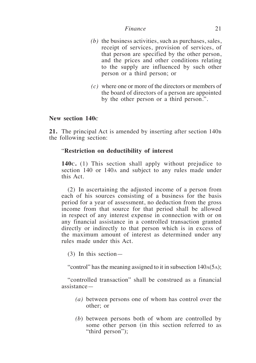- *(b)* the business activities, such as purchases, sales, receipt of services, provision of services, of that person are specified by the other person, and the prices and other conditions relating to the supply are influenced by such other person or a third person; or
- *(c)* where one or more of the directors or members of the board of directors of a person are appointed by the other person or a third person.".

# **New section 140c**

**21.** The principal Act is amended by inserting after section 140b the following section:

# "**Restriction on deductibility of interest**

**140c.** (1) This section shall apply without prejudice to section 140 or 140<sub>A</sub> and subject to any rules made under this Act.

(2) In ascertaining the adjusted income of a person from each of his sources consisting of a business for the basis period for a year of assessment, no deduction from the gross income from that source for that period shall be allowed in respect of any interest expense in connection with or on any financial assistance in a controlled transaction granted directly or indirectly to that person which is in excess of the maximum amount of interest as determined under any rules made under this Act.

(3) In this section—

"control" has the meaning assigned to it in subsection 140a(5a);

"controlled transaction" shall be construed as a financial assistance—

- *(a)* between persons one of whom has control over the other; or
- *(b*) between persons both of whom are controlled by some other person (in this section referred to as "third person");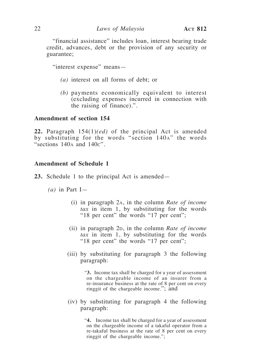"financial assistance" includes loan, interest bearing trade credit, advances, debt or the provision of any security or guarantee;

"interest expense" means—

- *(a)* interest on all forms of debt; or
- *(b)* payments economically equivalent to interest (excluding expenses incurred in connection with the raising of finance).".

#### **Amendment of section 154**

**22.** Paragraph 154(1)*(ed)* of the principal Act is amended by substituting for the words "section 140a" the words "sections 140<sup>a</sup> and 140c".

#### **Amendment of Schedule 1**

- **23.** Schedule 1 to the principal Act is amended—
	- *(a)* in Part I—
		- (i) in paragraph 2a, in the column *Rate of income tax* in item 1, by substituting for the words "18 per cent" the words "17 per cent";
		- (ii) in paragraph 2*D*, in the column *Rate of income tax* in item 1, by substituting for the words "18 per cent" the words "17 per cent";
		- (iii) by substituting for paragraph 3 the following paragraph:

"**3.** Income tax shall be charged for a year of assessment on the chargeable income of an insurer from a re-insurance business at the rate of 8 per cent on every ringgit of the chargeable income."; and

(iv) by substituting for paragraph 4 the following paragraph:

> "**4.** Income tax shall be charged for a year of assessment on the chargeable income of a takaful operator from a re-takaful business at the rate of 8 per cent on every ringgit of the chargeable income.";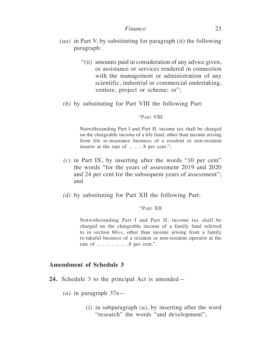- *(aa)* in Part V, by substituting for paragraph (ii) the following paragraph:
	- "(ii) amounts paid in consideration of any advice given, or assistance or services rendered in connection with the management or administration of any scientific, industrial or commercial undertaking, venture, project or scheme; or";
	- *(b)* by substituting for Part VIII the following Part:

#### "Part VIII

Notwithstanding Part I and Part II, income tax shall be charged on the chargeable income of a life fund, other than income arising from life re-insurance business of a resident or non-resident insurer at the rate of .... 8 per cent.";

- *(c)* in Part IX, by inserting after the words "10 per cent" the words "for the years of assessment 2019 and 2020 and 24 per cent for the subsequent years of assessment"; and
- *(d)* by substituting for Part XII the following Part:

#### "Part XII

Notwithstanding Part I and Part II, income tax shall be charged on the chargeable income of a family fund referred to in section 60aa, other than income arising from a family re-takaful business of a resident or non-resident operator at the rate of  $\ldots \ldots \ldots \ldots \ldots \ldots 8$  per cent.".

# **Amendment of Schedule 3**

- **24.** Schedule 3 to the principal Act is amended—
	- $(a)$  in paragraph  $37B$ 
		- (i) in subparagraph *(a)*, by inserting after the word "research" the words "and development";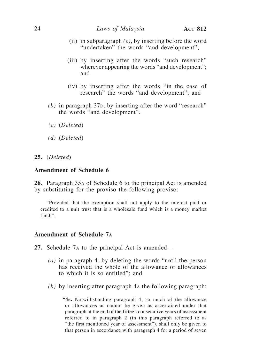- (ii) in subparagraph *(e)*, by inserting before the word "undertaken" the words "and development";
- (iii) by inserting after the words "such research" wherever appearing the words "and development"; and
- (iv) by inserting after the words "in the case of research" the words "and development"; and
- $(b)$  in paragraph  $37D$ , by inserting after the word "research" the words "and development".
- *(c)* (*Deleted*)
- *(d)* (*Deleted*)
- **25.** (*Deleted*)

#### **Amendment of Schedule 6**

**26.** Paragraph 35a of Schedule 6 to the principal Act is amended by substituting for the proviso the following proviso:

"Provided that the exemption shall not apply to the interest paid or credited to a unit trust that is a wholesale fund which is a money market fund.".

## **Amendment of Schedule 7a**

**27.** Schedule 7a to the principal Act is amended—

- *(a)* in paragraph 4, by deleting the words "until the person has received the whole of the allowance or allowances to which it is so entitled"; and
- *(b)* by inserting after paragraph 4a the following paragraph:

"**4b.** Notwithstanding paragraph 4, so much of the allowance or allowances as cannot be given as ascertained under that paragraph at the end of the fifteen consecutive years of assessment referred to in paragraph 2 (in this paragraph referred to as "the first mentioned year of assessment"), shall only be given to that person in accordance with paragraph 4 for a period of seven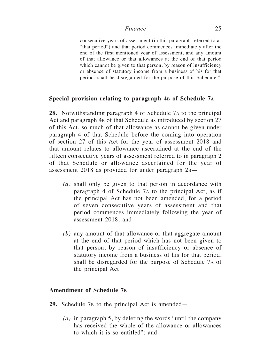consecutive years of assessment (in this paragraph referred to as "that period") and that period commences immediately after the end of the first mentioned year of assessment, and any amount of that allowance or that allowances at the end of that period which cannot be given to that person, by reason of insufficiency or absence of statutory income from a business of his for that period, shall be disregarded for the purpose of this Schedule.".

# **Special provision relating to paragraph 4b of Schedule 7a**

**28.** Notwithstanding paragraph 4 of Schedule 7a to the principal Act and paragraph 4b of that Schedule as introduced by section 27 of this Act, so much of that allowance as cannot be given under paragraph 4 of that Schedule before the coming into operation of section 27 of this Act for the year of assessment 2018 and that amount relates to allowance ascertained at the end of the fifteen consecutive years of assessment referred to in paragraph 2 of that Schedule or allowance ascertained for the year of assessment 2018 as provided for under paragraph  $2B$ —

- *(a)* shall only be given to that person in accordance with paragraph 4 of Schedule 7a to the principal Act, as if the principal Act has not been amended, for a period of seven consecutive years of assessment and that period commences immediately following the year of assessment 2018; and
- *(b)* any amount of that allowance or that aggregate amount at the end of that period which has not been given to that person, by reason of insufficiency or absence of statutory income from a business of his for that period, shall be disregarded for the purpose of Schedule 7a of the principal Act.

# **Amendment of Schedule 7b**

- 29. Schedule 7<sub>B</sub> to the principal Act is amended—
	- *(a)* in paragraph 5, by deleting the words "until the company has received the whole of the allowance or allowances to which it is so entitled"; and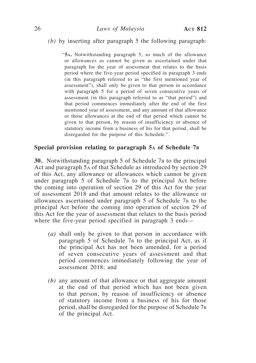#### *(b)* by inserting after paragraph 5 the following paragraph:

"**5a.** Notwithstanding paragraph 5, so much of the allowance or allowances as cannot be given as ascertained under that paragraph for the year of assessment that relates to the basis period where the five-year period specified in paragraph 3 ends (in this paragraph referred to as "the first mentioned year of assessment"), shall only be given to that person in accordance with paragraph 5 for a period of seven consecutive years of assessment (in this paragraph referred to as "that period") and that period commences immediately after the end of the first mentioned year of assessment, and any amount of that allowance or those allowances at the end of that period which cannot be given to that person, by reason of insufficiency or absence of statutory income from a business of his for that period, shall be disregarded for the purpose of this Schedule.".

#### **Special provision relating to paragraph 5a of Schedule 7b**

**30.** Notwithstanding paragraph 5 of Schedule 7<sub>B</sub> to the principal Act and paragraph 5a of that Schedule as introduced by section 29 of this Act, any allowance or allowances which cannot be given under paragraph 5 of Schedule 7<sub>B</sub> to the principal Act before the coming into operation of section 29 of this Act for the year of assessment 2018 and that amount relates to the allowance or allowances ascertained under paragraph 5 of Schedule 7<sub>B</sub> to the principal Act before the coming into operation of section 29 of this Act for the year of assessment that relates to the basis period where the five-year period specified in paragraph 3 ends—

- *(a)* shall only be given to that person in accordance with paragraph  $5$  of Schedule  $7<sub>B</sub>$  to the principal Act, as if the principal Act has not been amended, for a period of seven consecutive years of assessment and that period commences immediately following the year of assessment 2018; and
- *(b)* any amount of that allowance or that aggregate amount at the end of that period which has not been given to that person, by reason of insufficiency or absence of statutory income from a business of his for those period, shall be disregarded for the purpose of Schedule 7b of the principal Act.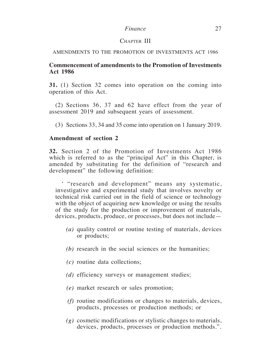# CHAPTER III

#### AMENDMENTS TO THE PROMOTION OF INVESTMENTS ACT 1986

# **Commencement of amendments to the Promotion of Investments Act 1986**

**31.** (1) Section 32 comes into operation on the coming into operation of this Act.

(2) Sections 36, 37 and 62 have effect from the year of assessment 2019 and subsequent years of assessment.

(3) Sections 33, 34 and 35 come into operation on 1 January 2019.

# **Amendment of section 2**

**32.** Section 2 of the Promotion of Investments Act 1986 which is referred to as the "principal Act" in this Chapter, is amended by substituting for the definition of "research and development" the following definition:

' "research and development" means any systematic, investigative and experimental study that involves novelty or technical risk carried out in the field of science or technology with the object of acquiring new knowledge or using the results of the study for the production or improvement of materials, devices, products, produce, or processes, but does not include—

- *(a)* quality control or routine testing of materials, devices or products;
- *(b)* research in the social sciences or the humanities;
- *(c)* routine data collections;
- *(d)* efficiency surveys or management studies;
- *(e)* market research or sales promotion;
- *(f)* routine modifications or changes to materials, devices, products, processes or production methods; or
- *(g)* cosmetic modifications or stylistic changes to materials, devices, products, processes or production methods.".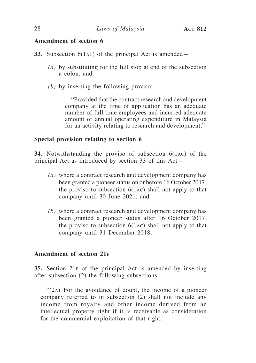# **Amendment of section 6**

- **33.** Subsection 6(1ac) of the principal Act is amended—
	- *(a)* by substituting for the full stop at end of the subsection a colon; and
	- *(b)* by inserting the following proviso:

"Provided that the contract research and development company at the time of application has an adequate number of full time employees and incurred adequate amount of annual operating expenditure in Malaysia for an activity relating to research and development.".

# **Special provision relating to section 6**

**34.** Notwithstanding the proviso of subsection 6(1ac) of the principal Act as introduced by section 33 of this Act—

- *(a)* where a contract research and development company has been granted a pioneer status on or before 16 October 2017, the proviso to subsection  $6(1AC)$  shall not apply to that company until 30 June 2021; and
- *(b)* where a contract research and development company has been granted a pioneer status after 16 October 2017, the proviso to subsection  $6(1AC)$  shall not apply to that company until 31 December 2018.

# **Amendment of section 21e**

**35.** Section 21e of the principal Act is amended by inserting after subsection (2) the following subsections:

"(2a) For the avoidance of doubt, the income of a pioneer company referred to in subsection (2) shall not include any income from royalty and other income derived from an intellectual property right if it is receivable as consideration for the commercial exploitation of that right.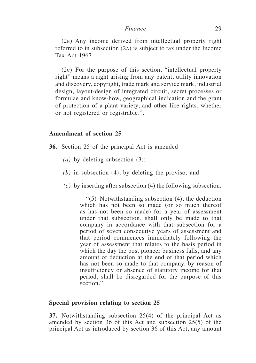(2b) Any income derived from intellectual property right referred to in subsection (2a) is subject to tax under the Income Tax Act 1967.

(2c) For the purpose of this section, "intellectual property right" means a right arising from any patent, utility innovation and discovery, copyright, trade mark and service mark, industrial design, layout-design of integrated circuit, secret processes or formulae and know-how, geographical indication and the grant of protection of a plant variety, and other like rights, whether or not registered or registrable.".

## **Amendment of section 25**

- **36.** Section 25 of the principal Act is amended—
	- *(a)* by deleting subsection (3);
	- *(b)* in subsection (4), by deleting the proviso; and
	- *(c)* by inserting after subsection (4) the following subsection:

"(5) Notwithstanding subsection (4), the deduction which has not been so made (or so much thereof as has not been so made) for a year of assessment under that subsection, shall only be made to that company in accordance with that subsection for a period of seven consecutive years of assessment and that period commences immediately following the year of assessment that relates to the basis period in which the day the post pioneer business falls, and any amount of deduction at the end of that period which has not been so made to that company, by reason of insufficiency or absence of statutory income for that period, shall be disregarded for the purpose of this section.".

#### **Special provision relating to section 25**

**37.** Notwithstanding subsection 25(4) of the principal Act as amended by section 36 of this Act and subsection 25(5) of the principal Act as introduced by section 36 of this Act, any amount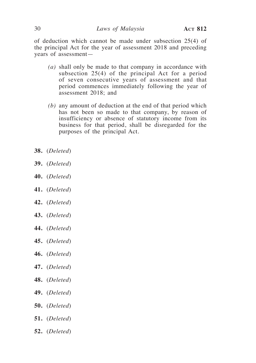of deduction which cannot be made under subsection 25(4) of the principal Act for the year of assessment 2018 and preceding years of assessment—

- *(a)* shall only be made to that company in accordance with subsection 25(4) of the principal Act for a period of seven consecutive years of assessment and that period commences immediately following the year of assessment 2018; and
- *(b)* any amount of deduction at the end of that period which has not been so made to that company, by reason of insufficiency or absence of statutory income from its business for that period, shall be disregarded for the purposes of the principal Act.
- **38.** (*Deleted*)
- **39.** (*Deleted*)
- **40.** (*Deleted*)
- **41.** (*Deleted*)
- **42.** (*Deleted*)
- **43.** (*Deleted*)
- **44.** (*Deleted*)
- **45.** (*Deleted*)
- **46.** (*Deleted*)
- **47.** (*Deleted*)
- **48.** (*Deleted*)
- **49.** (*Deleted*)
- **50.** (*Deleted*)
- **51.** (*Deleted*)
- **52.** (*Deleted*)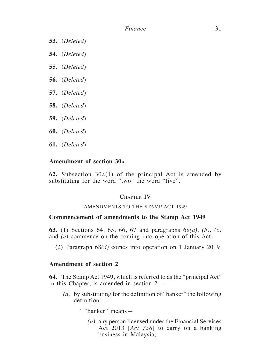- **53.** (*Deleted*)
- **54.** (*Deleted*)
- **55.** (*Deleted*)
- **56.** (*Deleted*)
- **57.** (*Deleted*)
- **58.** (*Deleted*)
- **59.** (*Deleted*)
- **60.** (*Deleted*)
- **61.** (*Deleted*)

# **Amendment of section 30a**

**62.** Subsection 30a(1) of the principal Act is amended by substituting for the word "two" the word "five".

# CHAPTER IV

#### AMENDMENTS TO THE STAMP ACT 1949

#### **Commencement of amendments to the Stamp Act 1949**

**63.** (1) Sections 64, 65, 66, 67 and paragraphs 68*(a), (b), (c)* and *(e)* commence on the coming into operation of this Act.

(2) Paragraph 68*(d)* comes into operation on 1 January 2019.

# **Amendment of section 2**

**64.** The Stamp Act 1949, which is referred to as the "principal Act" in this Chapter, is amended in section 2—

- *(a)* by substituting for the definition of "banker" the following definition:
	- ' "banker" means—
		- *(a)* any person licensed under the Financial Services Act 2013 [*Act 758*] to carry on a banking business in Malaysia;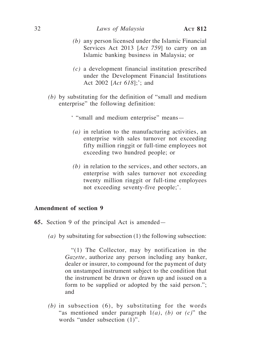- *(b)* any person licensed under the Islamic Financial Services Act 2013 [*Act 759*] to carry on an Islamic banking business in Malaysia; or
- *(c)* a development financial institution prescribed under the Development Financial Institutions Act 2002 [*Act 618*];'; and
- *(b)* by substituting for the definition of "small and medium enterprise" the following definition:
	- ' "small and medium enterprise" means—
	- *(a)* in relation to the manufacturing activities, an enterprise with sales turnover not exceeding fifty million ringgit or full-time employees not exceeding two hundred people; or
	- *(b)* in relation to the services, and other sectors, an enterprise with sales turnover not exceeding twenty million ringgit or full-time employees not exceeding seventy-five people;'.

# **Amendment of section 9**

- **65.** Section 9 of the principal Act is amended—
	- *(a)* by subsituting for subsection (1) the following subsection:

"(1) The Collector, may by notification in the *Gazette*, authorize any person including any banker, dealer or insurer, to compound for the payment of duty on unstamped instrument subject to the condition that the instrument be drawn or drawn up and issued on a form to be supplied or adopted by the said person."; and

*(b)* in subsection (6), by substituting for the words "as mentioned under paragraph 1*(a)*, *(b)* or *(c)*" the words "under subsection (1)".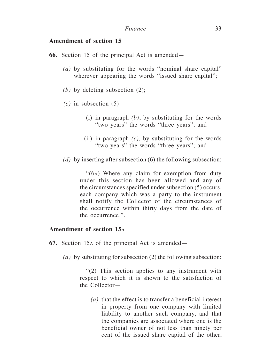# **Amendment of section 15**

- **66.** Section 15 of the principal Act is amended—
	- *(a)* by substituting for the words "nominal share capital" wherever appearing the words "issued share capital";
	- *(b)* by deleting subsection (2);
	- $(c)$  in subsection  $(5)$ 
		- (i) in paragraph *(b)*, by substituting for the words "two years" the words "three years"; and
		- (ii) in paragraph *(c),* by substituting for the words "two years" the words "three years"; and
	- *(d)* by inserting after subsection (6) the following subsection:

"(6a) Where any claim for exemption from duty under this section has been allowed and any of the circumstances specified under subsection (5) occurs, each company which was a party to the instrument shall notify the Collector of the circumstances of the occurrence within thirty days from the date of the occurrence.".

### **Amendment of section 15a**

- **67.** Section 15a of the principal Act is amended—
	- *(a)* by substituting for subsection (2) the following subsection:

"(2) This section applies to any instrument with respect to which it is shown to the satisfaction of the Collector—

*(a)* that the effect is to transfer a beneficial interest in property from one company with limited liability to another such company, and that the companies are associated where one is the beneficial owner of not less than ninety per cent of the issued share capital of the other,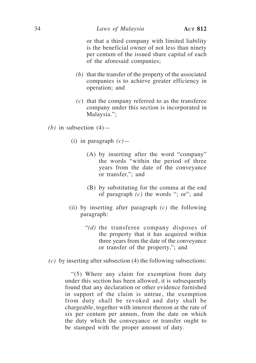or that a third company with limited liability is the beneficial owner of not less than ninety per centum of the issued share capital of each of the aforesaid companies;

- *(b)* that the transfer of the property of the associated companies is to achieve greater efficiency in operation; and
- *(c*) that the company referred to as the transferee company under this section is incorporated in Malaysia.";
- *(b)* in subsection  $(4)$ 
	- (i) in paragraph *(c)*
		- (A) by inserting after the word "company" the words "within the period of three years from the date of the conveyance or transfer,"; and
		- (B) by substituting for the comma at the end of paragraph *(c)* the words "; or"; and
	- (ii) by inserting after paragraph *(c)* the following paragraph:
		- "*(d)* the transferee company disposes of the property that it has acquired within three years from the date of the conveyance or transfer of the property,"; and
- *(c)* by inserting after subsection (4) the following subsections:

"(5) Where any claim for exemption from duty under this section has been allowed, it is subsequently found that any declaration or other evidence furnished in support of the claim is untrue, the exemption from duty shall be revoked and duty shall be chargeable, together with interest thereon at the rate of six per centum per annum, from the date on which the duty which the conveyance or transfer ought to be stamped with the proper amount of duty.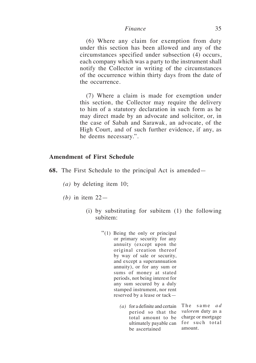(6) Where any claim for exemption from duty under this section has been allowed and any of the circumstances specified under subsection (4) occurs, each company which was a party to the instrument shall notify the Collector in writing of the circumstances of the occurrence within thirty days from the date of the occurrence.

(7) Where a claim is made for exemption under this section, the Collector may require the delivery to him of a statutory declaration in such form as he may direct made by an advocate and solicitor, or, in the case of Sabah and Sarawak, an advocate, of the High Court, and of such further evidence, if any, as he deems necessary.".

# **Amendment of First Schedule**

- **68.** The First Schedule to the principal Act is amended—
	- *(a)* by deleting item 10;
	- *(b)* in item 22—
		- (i) by substituting for subitem (1) the following subitem:
			- "(1) Being the only or principal or primary security for any annuity (except upon the original creation thereof by way of sale or security, and except a superannuation annuity), or for any sum or sums of money at stated periods, not being interest for any sum secured by a duly stamped instrument, nor rent reserved by a lease or tack—
				- *(a)* for a definite and certain period so that the *valorem* duty as a total amount to be charge or mortgage ultimately payable can for such total be ascertained amount.

The same *a d*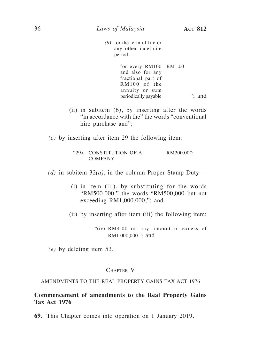- *(b)* for the term of life or any other indefinite period
	- for every RM100 RM1.00 and also for any fractional part of RM100 of the annuity or sum periodically payable "; and
- (ii) in subitem (6), by inserting after the words "in accordance with the" the words "conventional hire purchase and";
- *(c)* by inserting after item 29 the following item:
	- "29<sup>a</sup> CONSTITUTION OF A COMPANY RM200.00";
- *(d)* in subitem 32*(a)*, in the column Proper Stamp Duty*—*
	- (i) in item (iii), by substituting for the words "RM500,000." the words "RM500,000 but not exceeding RM1,000,000;"; and
	- (ii) by inserting after item (iii) the following item:

"(iv) RM4.00 on any amount in excess of RM1,000,000."; and

*(e)* by deleting item 53.

### CHAPTER V

#### AMENDMENTS TO THE REAL PROPERTY GAINS TAX ACT 1976

### **Commencement of amendments to the Real Property Gains Tax Act 1976**

**69.** This Chapter comes into operation on 1 January 2019.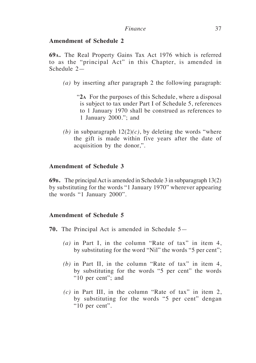# **Amendment of Schedule 2**

**69a.** The Real Property Gains Tax Act 1976 which is referred to as the "principal Act" in this Chapter, is amended in Schedule 2—

- *(a)* by inserting after paragraph 2 the following paragraph:
	- "**2<sup>a</sup>** For the purposes of this Schedule, where a disposal is subject to tax under Part I of Schedule 5, references to 1 January 1970 shall be construed as references to 1 January 2000."; and
- *(b)* in subparagraph  $12(2)(c)$ , by deleting the words "where the gift is made within five years after the date of acquisition by the donor,".

# **Amendment of Schedule 3**

**69b.** The principal Act is amended in Schedule 3 in subparagraph 13(2) by substituting for the words "1 January 1970" wherever appearing the words "1 January 2000".

### **Amendment of Schedule 5**

- **70.** The Principal Act is amended in Schedule 5—
	- *(a)* in Part I, in the column "Rate of tax" in item 4, by substituting for the word "Nil" the words "5 per cent";
	- *(b)* in Part II, in the column "Rate of tax" in item 4, by substituting for the words "5 per cent" the words "10 per cent"; and
	- *(c)* in Part III, in the column "Rate of tax" in item 2, by substituting for the words "5 per cent" dengan "10 per cent".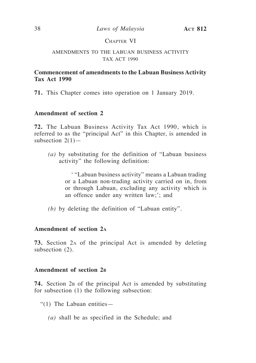# CHAPTER VI

### AMENDMENTS TO THE LABUAN BUSINESS ACTIVITY TAX ACT 1990

# **Commencement of amendments to the Labuan Business Activity Tax Act 1990**

**71.** This Chapter comes into operation on 1 January 2019.

# **Amendment of section 2**

**72.** The Labuan Business Activity Tax Act 1990, which is referred to as the "principal Act" in this Chapter, is amended in subsection  $2(1)$ —

*(a)* by substituting for the definition of "Labuan business activity" the following definition:

> ' "Labuan business activity" means a Labuan trading or a Labuan non-trading activity carried on in, from or through Labuan, excluding any activity which is an offence under any written law;'; and

*(b)* by deleting the definition of "Labuan entity".

### **Amendment of section 2a**

**73.** Section 2a of the principal Act is amended by deleting subsection (2).

### **Amendment of section 2b**

74. Section 2<sub>B</sub> of the principal Act is amended by substituting for subsection (1) the following subsection:

- " $(1)$  The Labuan entities
	- *(a)* shall be as specified in the Schedule; and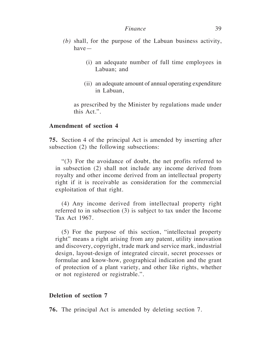- *(b)* shall, for the purpose of the Labuan business activity, have—
	- (i) an adequate number of full time employees in Labuan; and
	- (ii) an adequate amount of annual operating expenditure in Labuan,

 as prescribed by the Minister by regulations made under this Act.".

# **Amendment of section 4**

**75.** Section 4 of the principal Act is amended by inserting after subsection (2) the following subsections:

"(3) For the avoidance of doubt, the net profits referred to in subsection (2) shall not include any income derived from royalty and other income derived from an intellectual property right if it is receivable as consideration for the commercial exploitation of that right.

(4) Any income derived from intellectual property right referred to in subsection (3) is subject to tax under the Income Tax Act 1967.

(5) For the purpose of this section, "intellectual property right" means a right arising from any patent, utility innovation and discovery, copyright, trade mark and service mark, industrial design, layout-design of integrated circuit, secret processes or formulae and know-how, geographical indication and the grant of protection of a plant variety, and other like rights, whether or not registered or registrable.".

### **Deletion of section 7**

**76.** The principal Act is amended by deleting section 7.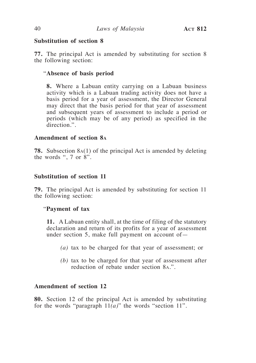# **Substitution of section 8**

**77.** The principal Act is amended by substituting for section 8 the following section:

# "**Absence of basis period**

**8.** Where a Labuan entity carrying on a Labuan business activity which is a Labuan trading activity does not have a basis period for a year of assessment, the Director General may direct that the basis period for that year of assessment and subsequent years of assessment to include a period or periods (which may be of any period) as specified in the direction.".

# **Amendment of section 8a**

**78.** Subsection 8a(1) of the principal Act is amended by deleting the words ", 7 or 8".

# **Substitution of section 11**

**79.** The principal Act is amended by substituting for section 11 the following section:

# "**Payment of tax**

**11.** A Labuan entity shall, at the time of filing of the statutory declaration and return of its profits for a year of assessment under section 5, make full payment on account of—

- *(a)* tax to be charged for that year of assessment; or
- *(b)* tax to be charged for that year of assessment after reduction of rebate under section 8a.".

# **Amendment of section 12**

**80.** Section 12 of the principal Act is amended by substituting for the words "paragraph  $11(a)$ " the words "section 11".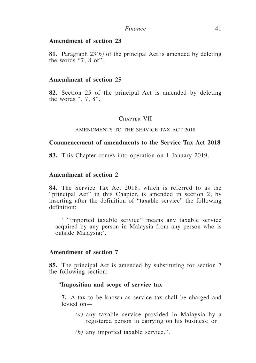### **Amendment of section 23**

**81.** Paragraph 23*(b)* of the principal Act is amended by deleting the words " $7, 8$  or".

#### **Amendment of section 25**

**82.** Section 25 of the principal Act is amended by deleting the words ",  $7, 8$ ".

#### CHAPTER VII

#### AMENDMENTS TO THE SERVICE TAX ACT 2018

# **Commencement of amendments to the Service Tax Act 2018**

**83.** This Chapter comes into operation on 1 January 2019.

### **Amendment of section 2**

**84.** The Service Tax Act 2018, which is referred to as the "principal Act" in this Chapter, is amended in section 2, by inserting after the definition of "taxable service" the following definition:

' "imported taxable service" means any taxable service acquired by any person in Malaysia from any person who is outside Malaysia;'.

### **Amendment of section 7**

**85.** The principal Act is amended by substituting for section 7 the following section:

#### "**Imposition and scope of service tax**

**7.** A tax to be known as service tax shall be charged and levied on—

- *(a)* any taxable service provided in Malaysia by a registered person in carrying on his business; or
- *(b)* any imported taxable service.".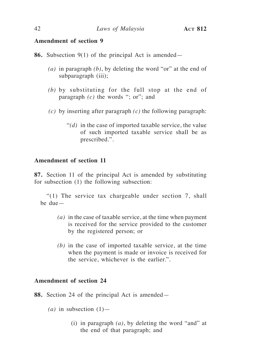# **Amendment of section 9**

**86.** Subsection 9(1) of the principal Act is amended—

- *(a)* in paragraph *(b)*, by deleting the word "or" at the end of subparagraph (iii);
- *(b)* by substituting for the full stop at the end of paragraph *(c)* the words "; or"; and
- *(c)* by inserting after paragraph *(c)* the following paragraph:
	- "*(d)* in the case of imported taxable service, the value of such imported taxable service shall be as prescribed.".

# **Amendment of section 11**

**87.** Section 11 of the principal Act is amended by substituting for subsection (1) the following subsection:

"(1) The service tax chargeable under section 7, shall be due—

- *(a)* in the case of taxable service, at the time when payment is received for the service provided to the customer by the registered person; or
- *(b)* in the case of imported taxable service, at the time when the payment is made or invoice is received for the service, whichever is the earlier.".

# **Amendment of section 24**

**88.** Section 24 of the principal Act is amended—

- $(a)$  in subsection  $(1)$ 
	- (i) in paragraph *(a)*, by deleting the word "and" at the end of that paragraph; and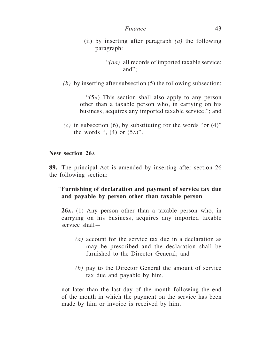(ii) by inserting after paragraph *(a)* the following paragraph:

*(b)* by inserting after subsection (5) the following subsection:

"(5a) This section shall also apply to any person other than a taxable person who, in carrying on his business, acquires any imported taxable service."; and

 $(c)$  in subsection  $(6)$ , by substituting for the words "or  $(4)$ " the words ",  $(4)$  or  $(5a)$ ".

# **New section 26a**

**89.** The principal Act is amended by inserting after section 26 the following section:

# "**Furnishing of declaration and payment of service tax due and payable by person other than taxable person**

**26a.** (1) Any person other than a taxable person who, in carrying on his business, acquires any imported taxable service shall—

- *(a)* account for the service tax due in a declaration as may be prescribed and the declaration shall be furnished to the Director General; and
- *(b)* pay to the Director General the amount of service tax due and payable by him,

not later than the last day of the month following the end of the month in which the payment on the service has been made by him or invoice is received by him.

<sup>&</sup>quot;*(aa)* all records of imported taxable service; and";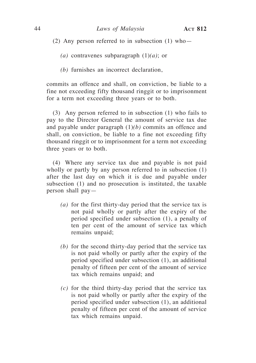(2) Any person referred to in subsection  $(1)$  who-

- *(a)* contravenes subparagraph (1)*(a)*; or
- *(b)* furnishes an incorrect declaration,

commits an offence and shall, on conviction, be liable to a fine not exceeding fifty thousand ringgit or to imprisonment for a term not exceeding three years or to both.

(3) Any person referred to in subsection (1) who fails to pay to the Director General the amount of service tax due and payable under paragraph (1)*(b)* commits an offence and shall, on conviction, be liable to a fine not exceeding fifty thousand ringgit or to imprisonment for a term not exceeding three years or to both.

(4) Where any service tax due and payable is not paid wholly or partly by any person referred to in subsection (1) after the last day on which it is due and payable under subsection (1) and no prosecution is instituted, the taxable person shall pay—

- *(a)* for the first thirty-day period that the service tax is not paid wholly or partly after the expiry of the period specified under subsection (1), a penalty of ten per cent of the amount of service tax which remains unpaid;
- *(b)* for the second thirty-day period that the service tax is not paid wholly or partly after the expiry of the period specified under subsection (1), an additional penalty of fifteen per cent of the amount of service tax which remains unpaid; and
- *(c)* for the third thirty-day period that the service tax is not paid wholly or partly after the expiry of the period specified under subsection (1), an additional penalty of fifteen per cent of the amount of service tax which remains unpaid.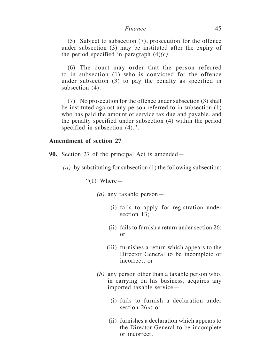(5) Subject to subsection (7), prosecution for the offence under subsection (3) may be instituted after the expiry of the period specified in paragraph  $(4)(c)$ .

(6) The court may order that the person referred to in subsection (1) who is convicted for the offence under subsection (3) to pay the penalty as specified in subsection (4).

(7) No prosecution for the offence under subsection (3) shall be instituted against any person referred to in subsection (1) who has paid the amount of service tax due and payable, and the penalty specified under subsection (4) within the period specified in subsection  $(4)$ .".

### **Amendment of section 27**

**90.** Section 27 of the principal Act is amended—

*(a)* by substituting for subsection (1) the following subsection:

" $(1)$  Where —

- *(a)* any taxable person—
	- (i) fails to apply for registration under section 13;
	- (ii) fails to furnish a return under section 26; or
	- (iii) furnishes a return which appears to the Director General to be incomplete or incorrect; or
- *(b)* any person other than a taxable person who, in carrying on his business, acquires any imported taxable service—
	- (i) fails to furnish a declaration under section 26a; or
	- (ii) furnishes a declaration which appears to the Director General to be incomplete or incorrect,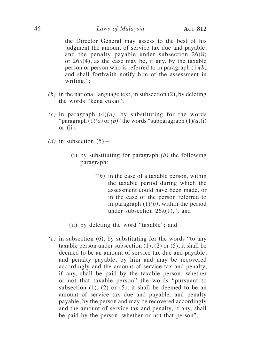the Director General may assess to the best of his judgment the amount of service tax due and payable, and the penalty payable under subsection 26(8) or 26a(4), as the case may be, if any, by the taxable person or person who is referred to in paragraph (1)*(b)* and shall forthwith notify him of the assessment in writing.";

- *(b)* in the national language text, in subsection (2), by deleting the words "kena cukai";
- *(c)* in paragraph (4)*(a),* by substituting for the words "paragraph (1)*(a)* or *(b)*" the words "subparagraph (1)*(a)*(i) or (ii);
- (*d*) in subsection  $(5)$ 
	- (i) by substituting for paragraph *(b)* the following paragraph:
		- "*(b)* in the case of a taxable person, within the taxable period during which the assessment could have been made, or in the case of the person referred to in paragraph  $(1)(b)$ , within the period under subsection  $26A(1)$ ,"; and
	- (ii) by deleting the word "taxable"; and
- *(e)* in subsection (6), by substituting for the words "to any taxable person under subsection  $(1)$ ,  $(2)$  or  $(5)$ , it shall be deemed to be an amount of service tax due and payable, and penalty payable, by him and may be recovered accordingly and the amount of service tax and penalty, if any, shall be paid by the taxable person, whether or not that taxable person" the words "pursuant to subsection  $(1)$ ,  $(2)$  or  $(5)$ , it shall be deemed to be an amount of service tax due and payable, and penalty payable, by the person and may be recovered accordingly and the amount of service tax and penalty, if any, shall be paid by the person, whether or not that person".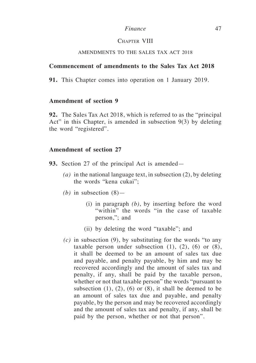#### Chapter VIII

#### AMENDMENTS TO THE SALES TAX ACT 2018

### **Commencement of amendments to the Sales Tax Act 2018**

**91.** This Chapter comes into operation on 1 January 2019*.*

# **Amendment of section 9**

**92.** The Sales Tax Act 2018, which is referred to as the "principal Act" in this Chapter, is amended in subsection 9(3) by deleting the word "registered".

# **Amendment of section 27**

**93.** Section 27 of the principal Act is amended—

- *(a)* in the national language text, in subsection (2), by deleting the words "kena cukai";
- *(b)* in subsection (8)—
	- (i) in paragraph *(b)*, by inserting before the word "within" the words "in the case of taxable person,"; and
	- (ii) by deleting the word "taxable"; and
- *(c)* in subsection (9), by substituting for the words "to any taxable person under subsection  $(1)$ ,  $(2)$ ,  $(6)$  or  $(8)$ , it shall be deemed to be an amount of sales tax due and payable, and penalty payable, by him and may be recovered accordingly and the amount of sales tax and penalty, if any, shall be paid by the taxable person, whether or not that taxable person" the words "pursuant to subsection  $(1)$ ,  $(2)$ ,  $(6)$  or  $(8)$ , it shall be deemed to be an amount of sales tax due and payable, and penalty payable, by the person and may be recovered accordingly and the amount of sales tax and penalty, if any, shall be paid by the person, whether or not that person".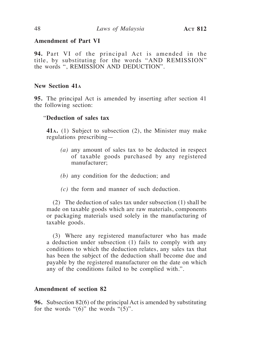# **Amendment of Part VI**

**94.** Part VI of the principal Act is amended in the title, by substituting for the words "AND REMISSION" the words ", REMISSION AND DEDUCTION".

# **New Section 41a**

**95.** The principal Act is amended by inserting after section 41 the following section:

# "**Deduction of sales tax**

**41a.** (1) Subject to subsection (2), the Minister may make regulations prescribing—

- *(a)* any amount of sales tax to be deducted in respect of taxable goods purchased by any registered manufacturer;
- *(b)* any condition for the deduction; and
- *(c)* the form and manner of such deduction.

(2) The deduction of sales tax under subsection (1) shall be made on taxable goods which are raw materials, components or packaging materials used solely in the manufacturing of taxable goods.

(3) Where any registered manufacturer who has made a deduction under subsection (1) fails to comply with any conditions to which the deduction relates, any sales tax that has been the subject of the deduction shall become due and payable by the registered manufacturer on the date on which any of the conditions failed to be complied with.".

# **Amendment of section 82**

**96.** Subsection 82(6) of the principal Act is amended by substituting for the words " $(6)$ " the words " $(5)$ ".